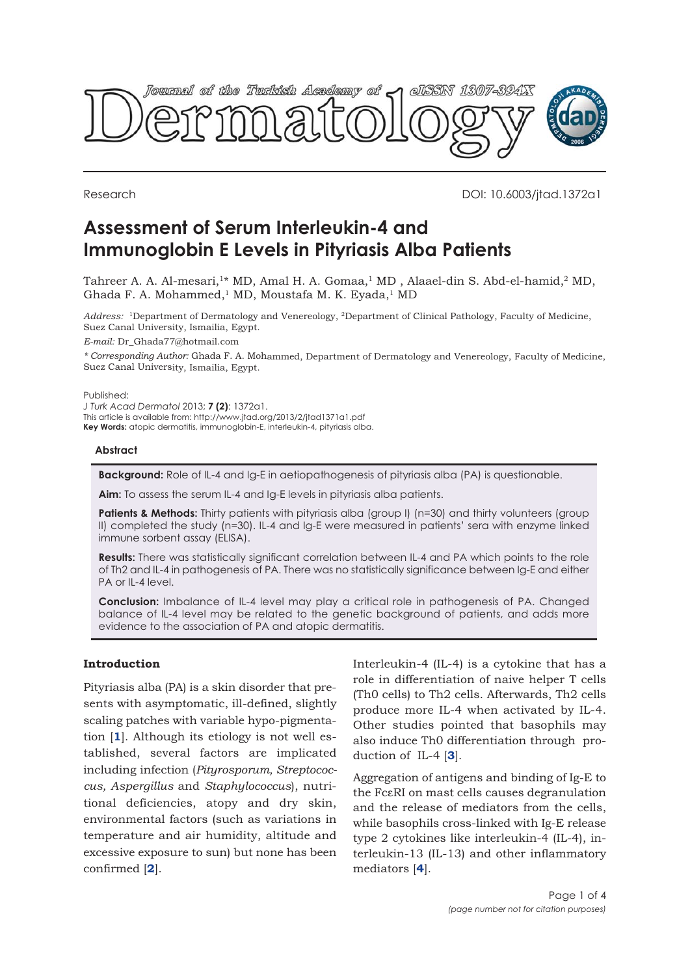

Research DOI: 10.6003/jtad.1372a1

# **Assessment of Serum Interleukin-4 and Immunoglobin E Levels in Pityriasis Alba Patients**

Tahreer A. A. Al-mesari,<sup>1\*</sup> MD, Amal H. A. Gomaa,<sup>1</sup> MD, Alaael-din S. Abd-el-hamid,<sup>2</sup> MD, Ghada F. A. Mohammed,<sup>1</sup> MD, Moustafa M. K. Eyada,<sup>1</sup> MD

*Address:* <sup>1</sup>Department of Dermatology and Venereology, <sup>2</sup>Department of Clinical Pathology, Faculty of Medicine, Suez Canal University, Ismailia, Egypt.

*E-mail:* Dr\_Ghada77@hotmail.com

*\* Corresponding Author:* Ghada F. A. Mohammed, Department of Dermatology and Venereology, Faculty of Medicine, Suez Canal University, Ismailia, Egypt.

Published:

*J Turk Acad Dermatol* 2013; **7 (2)**: 1372a1. This article is available from: http://www.jtad.org/2013/2/jtad1371a1.pdf **Key Words:** atopic dermatitis, immunoglobin-E, interleukin-4, pityriasis alba.

# **Abstract**

**Background:** Role of IL-4 and Ig-E in aetiopathogenesis of pityriasis alba (PA) is questionable.

**Aim:** To assess the serum IL-4 and Ig-E levels in pityriasis alba patients.

**Patients & Methods:** Thirty patients with pityriasis alba (group I) (n=30) and thirty volunteers (group II) completed the study (n=30). IL-4 and Ig-E were measured in patients' sera with enzyme linked immune sorbent assay (ELISA).

**Results:** There was statistically significant correlation between IL-4 and PA which points to the role of Th2 and IL-4 in pathogenesis of PA. There was no statistically significance between Ig-E and either PA or IL-4 level.

**Conclusion:** Imbalance of IL-4 level may play a critical role in pathogenesis of PA. Changed balance of IL-4 level may be related to the genetic background of patients, and adds more evidence to the association of PA and atopic dermatitis.

# **Introduction**

Pityriasis alba (PA) is a skin disorder that presents with asymptomatic, ill-defined, slightly scaling patches with variable hypo-pigmentation [**1**]. Although its etiology is not well established, several factors are implicated including infection (*Pityrosporum, Streptococcus, Aspergillus* and *Staphylococcus*), nutritional deficiencies, atopy and dry skin, environmental factors (such as variations in temperature and air humidity, altitude and excessive exposure to sun) but none has been confirmed [**2**].

Interleukin-4 (IL-4) is a cytokine that has a role in differentiation of naive helper T cells (Th0 cells) to Th2 cells. Afterwards, Th2 cells produce more IL-4 when activated by IL-4. Other studies pointed that basophils may also induce Th0 differentiation through production of IL-4 [**3**].

Aggregation of antigens and binding of Ig-E to the FcεRI on mast cells causes degranulation and the release of mediators from the cells, while basophils cross-linked with Ig-E release type 2 cytokines like interleukin-4 (IL-4), interleukin-13 (IL-13) and other inflammatory mediators [**4**].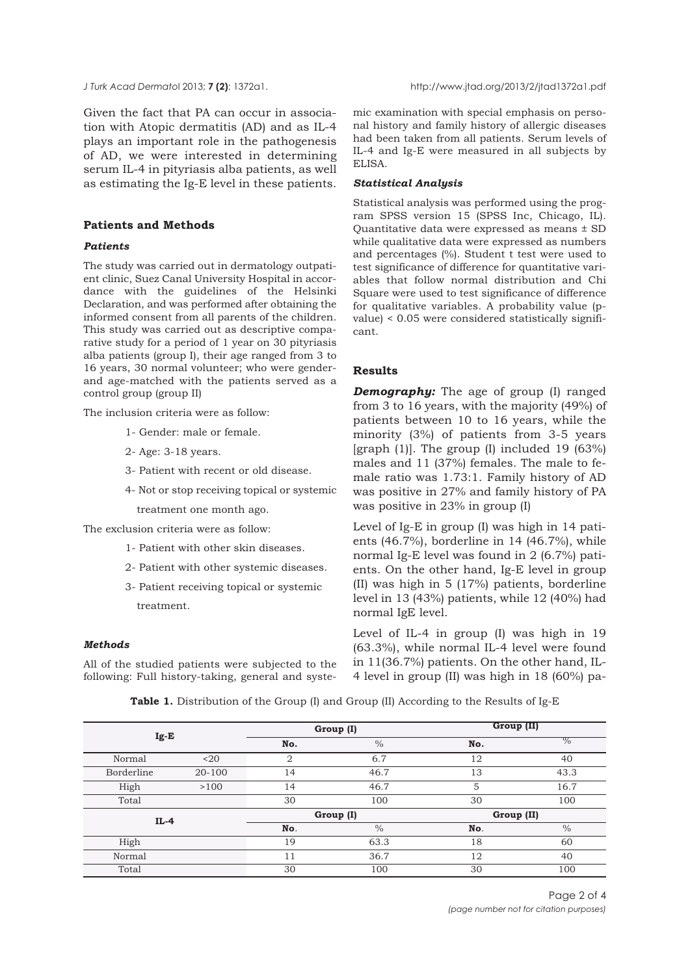Given the fact that PA can occur in association with Atopic dermatitis (AD) and as IL-4 plays an important role in the pathogenesis of AD, we were interested in determining serum IL-4 in pityriasis alba patients, as well as estimating the Ig-E level in these patients.

# **Patients and Methods**

#### *Patients*

The study was carried out in dermatology outpatient clinic, Suez Canal University Hospital in accordance with the guidelines of the Helsinki Declaration, and was performed after obtaining the informed consent from all parents of the children. This study was carried out as descriptive comparative study for a period of 1 year on 30 pityriasis alba patients (group I), their age ranged from 3 to 16 years, 30 normal volunteer; who were genderand age-matched with the patients served as a control group (group II)

The inclusion criteria were as follow:

- 1- Gender: male or female.
- 2- Age: 3-18 years.
- 3- Patient with recent or old disease.
- 4- Not or stop receiving topical or systemic treatment one month ago.

The exclusion criteria were as follow:

- 1- Patient with other skin diseases.
- 2- Patient with other systemic diseases.
- 3- Patient receiving topical or systemic treatment.

#### *Methods*

All of the studied patients were subjected to the following: Full history-taking, general and syste-

mic examination with special emphasis on personal history and family history of allergic diseases had been taken from all patients. Serum levels of IL-4 and Ig-E were measured in all subjects by ELISA.

#### *Statistical Analysis*

Statistical analysis was performed using the program SPSS version 15 (SPSS Inc, Chicago, IL). Quantitative data were expressed as means ± SD while qualitative data were expressed as numbers and percentages (%). Student t test were used to test significance of difference for quantitative variables that follow normal distribution and Chi Square were used to test significance of difference for qualitative variables. A probability value (pvalue) < 0.05 were considered statistically significant.

#### **Results**

*Demography:* The age of group (I) ranged from 3 to 16 years, with the majority (49%) of patients between 10 to 16 years, while the minority (3%) of patients from 3-5 years [graph  $(1)$ ]. The group  $(I)$  included 19  $(63\%)$ males and 11 (37%) females. The male to female ratio was 1.73:1. Family history of AD was positive in 27% and family history of PA was positive in 23% in group (I)

Level of Ig-E in group (I) was high in 14 patients (46.7%), borderline in 14 (46.7%), while normal Ig-E level was found in 2 (6.7%) patients. On the other hand, Ig-E level in group (II) was high in 5 (17%) patients, borderline level in 13 (43%) patients, while 12 (40%) had normal IgE level.

Level of IL-4 in group (I) was high in 19 (63.3%), while normal IL-4 level were found in 11(36.7%) patients. On the other hand, IL-4 level in group (II) was high in 18 (60%) pa-

**Table 1.** Distribution of the Group (I) and Group (II) According to the Results of Ig-E

| $Ig-E$     |            |                | Group (I)     | Group (II) |               |  |
|------------|------------|----------------|---------------|------------|---------------|--|
|            |            | No.            | $\%$          | No.        | $\frac{0}{0}$ |  |
| Normal     | $20$       | $\overline{2}$ | 6.7           | 12         | 40            |  |
| Borderline | $20 - 100$ | 14             | 46.7          | 13         | 43.3          |  |
| High       | >100       | 14             | 46.7          | 5          | 16.7          |  |
| Total      |            | 30             | 100           | 30         | 100           |  |
| $IL-4$     |            | Group (I)      |               | Group (II) |               |  |
|            |            | No.            | $\frac{0}{0}$ | No.        | $\frac{0}{0}$ |  |
| High       |            | 19             | 63.3          | 18         | 60            |  |
| Normal     |            | 11             | 36.7          | 12         | 40            |  |
| Total      |            | 30             | 100           | 30         | 100           |  |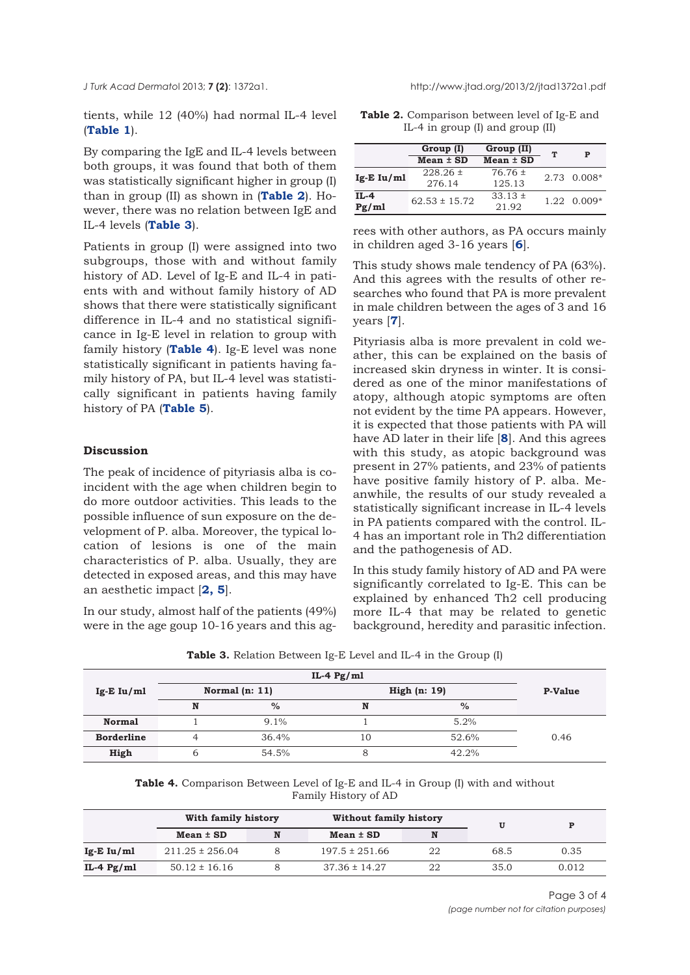tients, while 12 (40%) had normal IL-4 level (**Table 1**).

By comparing the IgE and IL-4 levels between both groups, it was found that both of them was statistically significant higher in group (I) than in group (II) as shown in (**Table 2**). However, there was no relation between IgE and IL-4 levels (**Table 3**).

Patients in group (I) were assigned into two subgroups, those with and without family history of AD. Level of Ig-E and IL-4 in patients with and without family history of AD shows that there were statistically significant difference in IL-4 and no statistical significance in Ig-E level in relation to group with family history (**Table 4**). Ig-E level was none statistically significant in patients having family history of PA, but IL-4 level was statistically significant in patients having family history of PA (**Table 5**).

#### **Discussion**

The peak of incidence of pityriasis alba is coincident with the age when children begin to do more outdoor activities. This leads to the possible influence of sun exposure on the development of P. alba. Moreover, the typical location of lesions is one of the main characteristics of P. alba. Usually, they are detected in exposed areas, and this may have an aesthetic impact [**2, 5**].

In our study, almost half of the patients (49%) were in the age goup 10-16 years and this ag-

**Table 2.** Comparison between level of Ig-E and IL-4 in group (I) and group (II)

|                 | Group (I)              | Group (II)            | ፐ | Р                   |  |
|-----------------|------------------------|-----------------------|---|---------------------|--|
|                 | $Mean \pm SD$          | $Mean \pm SD$         |   |                     |  |
| $Ig-E Iu/ml$    | $228.26 \pm$<br>276.14 | $76.76 \pm$<br>125.13 |   | $2.73 \quad 0.008*$ |  |
| $IL-4$<br>Pg/ml | $62.53 \pm 15.72$      | $33.13 \pm$<br>21.92  |   | $1.22 \quad 0.009*$ |  |

rees with other authors, as PA occurs mainly in children aged 3-16 years [**6**].

This study shows male tendency of PA (63%). And this agrees with the results of other researches who found that PA is more prevalent in male children between the ages of 3 and 16 years [**7**].

Pityriasis alba is more prevalent in cold weather, this can be explained on the basis of increased skin dryness in winter. It is considered as one of the minor manifestations of atopy, although atopic symptoms are often not evident by the time PA appears. However, it is expected that those patients with PA will have AD later in their life [**8**]. And this agrees with this study, as atopic background was present in 27% patients, and 23% of patients have positive family history of P. alba. Meanwhile, the results of our study revealed a statistically significant increase in IL-4 levels in PA patients compared with the control. IL-4 has an important role in Th2 differentiation and the pathogenesis of AD.

In this study family history of AD and PA were significantly correlated to Ig-E. This can be explained by enhanced Th2 cell producing more IL-4 that may be related to genetic background, heredity and parasitic infection.

|  | <b>Table 3.</b> Relation Between Ig-E Level and IL-4 in the Group (I) |  |  |  |  |  |  |  |  |  |
|--|-----------------------------------------------------------------------|--|--|--|--|--|--|--|--|--|
|--|-----------------------------------------------------------------------|--|--|--|--|--|--|--|--|--|

|                   |                                  |         | IL-4 $Pg/ml$ |               |      |
|-------------------|----------------------------------|---------|--------------|---------------|------|
| $Ig-E Iu/ml$      | Normal $(n: 11)$<br>High (n: 19) |         |              |               |      |
|                   | N                                | $\%$    | N            | $\frac{0}{0}$ |      |
| <b>Normal</b>     |                                  | $9.1\%$ |              | 5.2%          |      |
| <b>Borderline</b> |                                  | 36.4%   | 10           | 52.6%         | 0.46 |
| High              | b                                | 54.5%   | 8            | 42.2%         |      |

**Table 4.** Comparison Between Level of Ig-E and IL-4 in Group (I) with and without Family History of AD

|              | With family history |   | Without family history |    |      | P     |
|--------------|---------------------|---|------------------------|----|------|-------|
|              | $Mean \pm SD$       | N | $Mean \pm SD$          | N  |      |       |
| $Ig-E Iu/ml$ | $211.25 \pm 256.04$ |   | $197.5 \pm 251.66$     | 22 | 68.5 | 0.35  |
| IL-4 $Pg/ml$ | $50.12 \pm 16.16$   |   | $37.36 \pm 14.27$      | 22 | 35.0 | 0.012 |